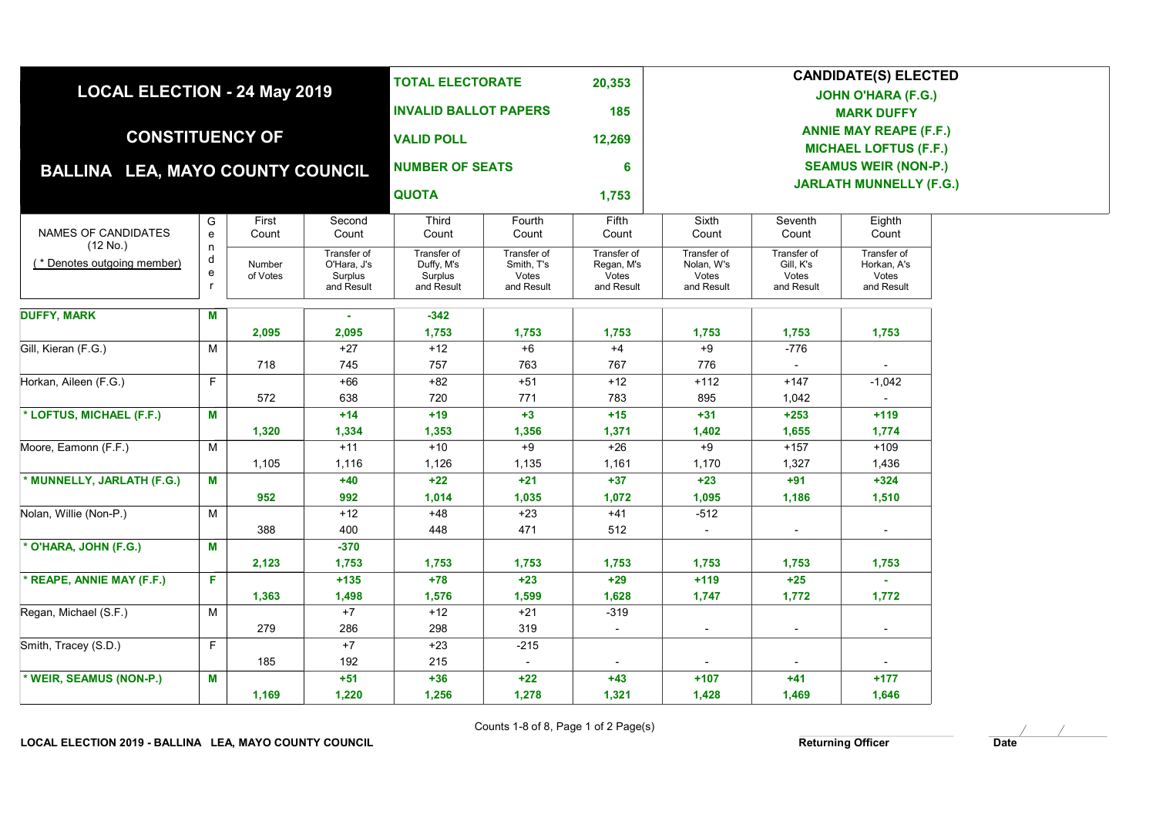|                                         |                                   |                    | <b>TOTAL ELECTORATE</b><br>20,353<br><b>INVALID BALLOT PAPERS</b><br>185 |                             |                          | <b>CANDIDATE(S) ELECTED</b><br><b>JOHN O'HARA (F.G.)</b><br><b>MARK DUFFY</b> |                              |                          |                          |  |  |
|-----------------------------------------|-----------------------------------|--------------------|--------------------------------------------------------------------------|-----------------------------|--------------------------|-------------------------------------------------------------------------------|------------------------------|--------------------------|--------------------------|--|--|
| <b>LOCAL ELECTION - 24 May 2019</b>     |                                   |                    |                                                                          |                             |                          |                                                                               |                              |                          |                          |  |  |
|                                         |                                   |                    |                                                                          |                             |                          |                                                                               |                              |                          |                          |  |  |
|                                         |                                   |                    |                                                                          |                             |                          | <b>ANNIE MAY REAPE (F.F.)</b>                                                 |                              |                          |                          |  |  |
| <b>CONSTITUENCY OF</b>                  |                                   |                    |                                                                          | <b>VALID POLL</b><br>12,269 |                          |                                                                               | <b>MICHAEL LOFTUS (F.F.)</b> |                          |                          |  |  |
| <b>BALLINA LEA, MAYO COUNTY COUNCIL</b> |                                   |                    | <b>NUMBER OF SEATS</b>                                                   |                             | 6                        | <b>SEAMUS WEIR (NON-P.)</b><br><b>JARLATH MUNNELLY (F.G.)</b>                 |                              |                          |                          |  |  |
|                                         |                                   |                    |                                                                          |                             |                          |                                                                               |                              |                          |                          |  |  |
|                                         |                                   |                    |                                                                          | <b>QUOTA</b>                |                          | 1,753                                                                         |                              |                          |                          |  |  |
|                                         | G                                 | First              | Second                                                                   | Third                       | Fourth                   | Fifth                                                                         | Sixth                        | Seventh                  | Eighth                   |  |  |
| NAMES OF CANDIDATES<br>(12 No.)         | $\mathbf{e}% _{t}\left( t\right)$ | Count              | Count                                                                    | Count                       | Count                    | Count                                                                         | Count                        | Count                    | Count                    |  |  |
| (* Denotes outgoing member)             | n<br>d                            |                    | Transfer of                                                              | Transfer of                 | Transfer of              | Transfer of                                                                   | Transfer of                  | Transfer of              | Transfer of              |  |  |
|                                         | ${\bf e}$                         | Number<br>of Votes | O'Hara, J's<br>Surplus                                                   | Duffy, M's<br>Surplus       | Smith, T's<br>Votes      | Regan, M's<br>Votes                                                           | Nolan, W's<br>Votes          | Gill, K's<br>Votes       | Horkan, A's<br>Votes     |  |  |
|                                         | r                                 |                    | and Result                                                               | and Result                  | and Result               | and Result                                                                    | and Result                   | and Result               | and Result               |  |  |
| <b>DUFFY, MARK</b>                      | M                                 |                    |                                                                          | $-342$                      |                          |                                                                               |                              |                          |                          |  |  |
|                                         |                                   | 2,095              | 2,095                                                                    | 1,753                       | 1,753                    | 1,753                                                                         | 1,753                        | 1,753                    | 1,753                    |  |  |
| Gill, Kieran (F.G.)                     | M                                 |                    | $+27$                                                                    | $+12$                       | $+6$                     | $+4$                                                                          | $+9$                         | $-776$                   |                          |  |  |
|                                         |                                   | 718                | 745                                                                      | 757                         | 763                      | 767                                                                           | 776                          |                          |                          |  |  |
| Horkan, Aileen (F.G.)                   | F                                 |                    | $+66$                                                                    | $+82$                       | $+51$                    | $+12$                                                                         | $+112$                       | $+147$                   | $-1,042$                 |  |  |
|                                         |                                   | 572                | 638                                                                      | 720                         | 771                      | 783                                                                           | 895                          | 1,042                    |                          |  |  |
| * LOFTUS, MICHAEL (F.F.)                | M                                 |                    | $+14$                                                                    | $+19$                       | $+3$                     | $+15$                                                                         | $+31$                        | $+253$                   | $+119$                   |  |  |
|                                         |                                   | 1,320              | 1,334                                                                    | 1,353                       | 1,356                    | 1,371                                                                         | 1,402                        | 1,655                    | 1,774                    |  |  |
| Moore, Eamonn (F.F.)                    | М                                 |                    | $+11$                                                                    | $+10$                       | $+9$                     | $+26$                                                                         | $+9$                         | $+157$                   | $+109$                   |  |  |
|                                         |                                   | 1,105              | 1,116                                                                    | 1,126                       | 1,135                    | 1,161                                                                         | 1,170                        | 1,327                    | 1,436                    |  |  |
| * MUNNELLY, JARLATH (F.G.)              | M                                 |                    | $+40$                                                                    | $+22$                       | $+21$                    | $+37$                                                                         | $+23$                        | $+91$                    | $+324$                   |  |  |
|                                         |                                   | 952                | 992                                                                      | 1,014                       | 1,035                    | 1,072                                                                         | 1,095                        | 1,186                    | 1,510                    |  |  |
| Nolan, Willie (Non-P.)                  | М                                 |                    | $+12$                                                                    | $+48$                       | $+23$                    | $+41$                                                                         | $-512$                       |                          |                          |  |  |
|                                         |                                   | 388                | 400                                                                      | 448                         | 471                      | 512                                                                           | $\overline{\phantom{a}}$     | $\overline{\phantom{a}}$ | $\overline{\phantom{a}}$ |  |  |
| * O'HARA, JOHN (F.G.)                   | М                                 |                    | $-370$                                                                   |                             |                          |                                                                               |                              |                          |                          |  |  |
|                                         |                                   | 2,123              | 1,753                                                                    | 1,753                       | 1,753                    | 1,753                                                                         | 1,753                        | 1,753                    | 1,753                    |  |  |
| * REAPE, ANNIE MAY (F.F.)               | F.                                |                    | $+135$                                                                   | $+78$                       | $+23$                    | $+29$                                                                         | $+119$                       | $+25$                    |                          |  |  |
|                                         |                                   | 1,363              | 1,498                                                                    | 1,576                       | 1,599                    | 1,628                                                                         | 1,747                        | 1,772                    | 1,772                    |  |  |
| Regan, Michael (S.F.)                   | M                                 |                    | $+7$                                                                     | $+12$                       | $+21$                    | $-319$                                                                        |                              |                          |                          |  |  |
|                                         |                                   | 279                | 286                                                                      | 298                         | 319                      | $\blacksquare$                                                                | $\overline{\phantom{a}}$     | $\sim$                   | $\sim$                   |  |  |
| Smith, Tracey (S.D.)                    | F                                 |                    | $+7$                                                                     | $+23$                       | $-215$                   |                                                                               |                              |                          |                          |  |  |
|                                         |                                   | 185                | 192                                                                      | 215                         | $\overline{\phantom{a}}$ |                                                                               |                              |                          |                          |  |  |
| * WEIR, SEAMUS (NON-P.)                 | М                                 |                    | $+51$                                                                    | $+36$                       | $+22$                    | $+43$                                                                         | $+107$                       | $+41$                    | $+177$                   |  |  |
|                                         |                                   | 1,169              | 1,220                                                                    | 1,256                       | 1,278                    | 1,321                                                                         | 1,428                        | 1,469                    | 1,646                    |  |  |

Counts 1-8 of 8, Page 1 of 2 Page(s)

LOCAL ELECTION 2019 - BALLINA LEA, MAYO COUNTY COUNCIL **Example 2018** Returning Officer **Returning Officer** Date